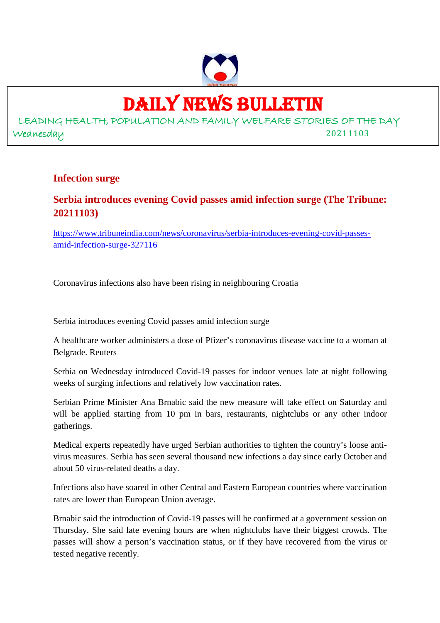

## DAILY NEWS BULLETIN

LEADING HEALTH, POPULATION AND FAMILY WELFARE STORIES OF THE DAY Wednesday 20211103

### **Infection surge**

### **Serbia introduces evening Covid passes amid infection surge (The Tribune: 20211103)**

https://www.tribuneindia.com/news/coronavirus/serbia-introduces-evening-covid-passesamid-infection-surge-327116

Coronavirus infections also have been rising in neighbouring Croatia

Serbia introduces evening Covid passes amid infection surge

A healthcare worker administers a dose of Pfizer's coronavirus disease vaccine to a woman at Belgrade. Reuters

Serbia on Wednesday introduced Covid-19 passes for indoor venues late at night following weeks of surging infections and relatively low vaccination rates.

Serbian Prime Minister Ana Brnabic said the new measure will take effect on Saturday and will be applied starting from 10 pm in bars, restaurants, nightclubs or any other indoor gatherings.

Medical experts repeatedly have urged Serbian authorities to tighten the country's loose antivirus measures. Serbia has seen several thousand new infections a day since early October and about 50 virus-related deaths a day.

Infections also have soared in other Central and Eastern European countries where vaccination rates are lower than European Union average.

Brnabic said the introduction of Covid-19 passes will be confirmed at a government session on Thursday. She said late evening hours are when nightclubs have their biggest crowds. The passes will show a person's vaccination status, or if they have recovered from the virus or tested negative recently.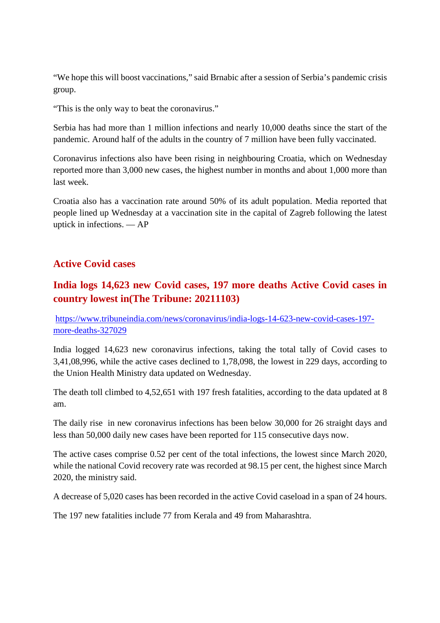"We hope this will boost vaccinations," said Brnabic after a session of Serbia's pandemic crisis group.

"This is the only way to beat the coronavirus."

Serbia has had more than 1 million infections and nearly 10,000 deaths since the start of the pandemic. Around half of the adults in the country of 7 million have been fully vaccinated.

Coronavirus infections also have been rising in neighbouring Croatia, which on Wednesday reported more than 3,000 new cases, the highest number in months and about 1,000 more than last week.

Croatia also has a vaccination rate around 50% of its adult population. Media reported that people lined up Wednesday at a vaccination site in the capital of Zagreb following the latest uptick in infections. — AP

### **Active Covid cases**

### **India logs 14,623 new Covid cases, 197 more deaths Active Covid cases in country lowest in(The Tribune: 20211103)**

https://www.tribuneindia.com/news/coronavirus/india-logs-14-623-new-covid-cases-197 more-deaths-327029

India logged 14,623 new coronavirus infections, taking the total tally of Covid cases to 3,41,08,996, while the active cases declined to 1,78,098, the lowest in 229 days, according to the Union Health Ministry data updated on Wednesday.

The death toll climbed to 4,52,651 with 197 fresh fatalities, according to the data updated at 8 am.

The daily rise in new coronavirus infections has been below 30,000 for 26 straight days and less than 50,000 daily new cases have been reported for 115 consecutive days now.

The active cases comprise 0.52 per cent of the total infections, the lowest since March 2020, while the national Covid recovery rate was recorded at 98.15 per cent, the highest since March 2020, the ministry said.

A decrease of 5,020 cases has been recorded in the active Covid caseload in a span of 24 hours.

The 197 new fatalities include 77 from Kerala and 49 from Maharashtra.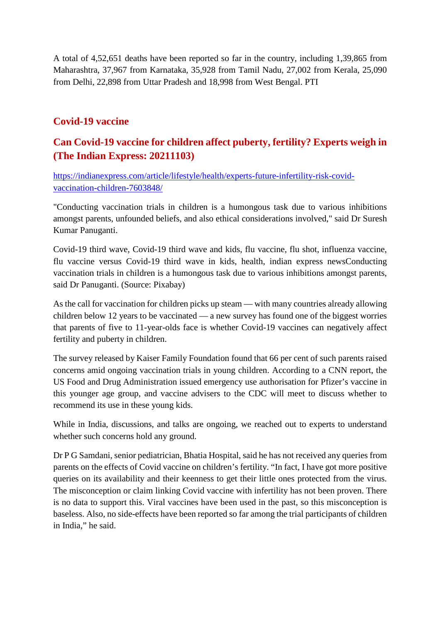A total of 4,52,651 deaths have been reported so far in the country, including 1,39,865 from Maharashtra, 37,967 from Karnataka, 35,928 from Tamil Nadu, 27,002 from Kerala, 25,090 from Delhi, 22,898 from Uttar Pradesh and 18,998 from West Bengal. PTI

### **Covid-19 vaccine**

### **Can Covid-19 vaccine for children affect puberty, fertility? Experts weigh in (The Indian Express: 20211103)**

https://indianexpress.com/article/lifestyle/health/experts-future-infertility-risk-covidvaccination-children-7603848/

"Conducting vaccination trials in children is a humongous task due to various inhibitions amongst parents, unfounded beliefs, and also ethical considerations involved," said Dr Suresh Kumar Panuganti.

Covid-19 third wave, Covid-19 third wave and kids, flu vaccine, flu shot, influenza vaccine, flu vaccine versus Covid-19 third wave in kids, health, indian express newsConducting vaccination trials in children is a humongous task due to various inhibitions amongst parents, said Dr Panuganti. (Source: Pixabay)

As the call for vaccination for children picks up steam — with many countries already allowing children below 12 years to be vaccinated — a new survey has found one of the biggest worries that parents of five to 11-year-olds face is whether Covid-19 vaccines can negatively affect fertility and puberty in children.

The survey released by Kaiser Family Foundation found that 66 per cent of such parents raised concerns amid ongoing vaccination trials in young children. According to a CNN report, the US Food and Drug Administration issued emergency use authorisation for Pfizer's vaccine in this younger age group, and vaccine advisers to the CDC will meet to discuss whether to recommend its use in these young kids.

While in India, discussions, and talks are ongoing, we reached out to experts to understand whether such concerns hold any ground.

Dr P G Samdani, senior pediatrician, Bhatia Hospital, said he has not received any queries from parents on the effects of Covid vaccine on children's fertility. "In fact, I have got more positive queries on its availability and their keenness to get their little ones protected from the virus. The misconception or claim linking Covid vaccine with infertility has not been proven. There is no data to support this. Viral vaccines have been used in the past, so this misconception is baseless. Also, no side-effects have been reported so far among the trial participants of children in India," he said.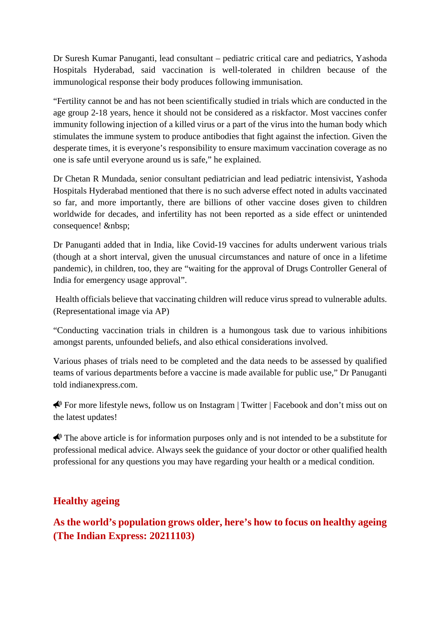Dr Suresh Kumar Panuganti, lead consultant – pediatric critical care and pediatrics, Yashoda Hospitals Hyderabad, said vaccination is well-tolerated in children because of the immunological response their body produces following immunisation.

"Fertility cannot be and has not been scientifically studied in trials which are conducted in the age group 2-18 years, hence it should not be considered as a riskfactor. Most vaccines confer immunity following injection of a killed virus or a part of the virus into the human body which stimulates the immune system to produce antibodies that fight against the infection. Given the desperate times, it is everyone's responsibility to ensure maximum vaccination coverage as no one is safe until everyone around us is safe," he explained.

Dr Chetan R Mundada, senior consultant pediatrician and lead pediatric intensivist, Yashoda Hospitals Hyderabad mentioned that there is no such adverse effect noted in adults vaccinated so far, and more importantly, there are billions of other vaccine doses given to children worldwide for decades, and infertility has not been reported as a side effect or unintended consequence! & nbsp;

Dr Panuganti added that in India, like Covid-19 vaccines for adults underwent various trials (though at a short interval, given the unusual circumstances and nature of once in a lifetime pandemic), in children, too, they are "waiting for the approval of Drugs Controller General of India for emergency usage approval".

Health officials believe that vaccinating children will reduce virus spread to vulnerable adults. (Representational image via AP)

"Conducting vaccination trials in children is a humongous task due to various inhibitions amongst parents, unfounded beliefs, and also ethical considerations involved.

Various phases of trials need to be completed and the data needs to be assessed by qualified teams of various departments before a vaccine is made available for public use," Dr Panuganti told indianexpress.com.

For more lifestyle news, follow us on Instagram | Twitter | Facebook and don't miss out on the latest updates!

 $\bigtriangleup$  The above article is for information purposes only and is not intended to be a substitute for professional medical advice. Always seek the guidance of your doctor or other qualified health professional for any questions you may have regarding your health or a medical condition.

### **Healthy ageing**

**As the world's population grows older, here's how to focus on healthy ageing (The Indian Express: 20211103)**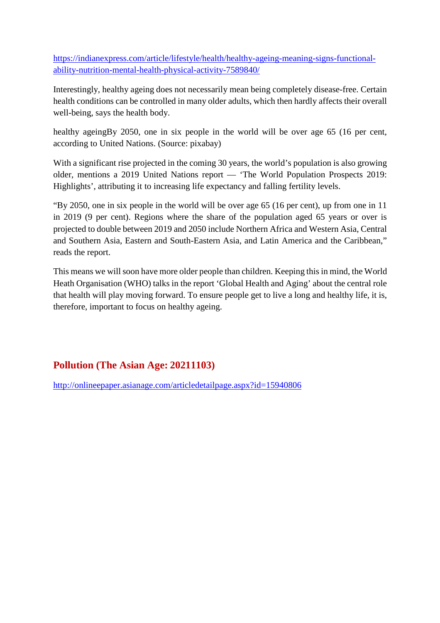https://indianexpress.com/article/lifestyle/health/healthy-ageing-meaning-signs-functionalability-nutrition-mental-health-physical-activity-7589840/

Interestingly, healthy ageing does not necessarily mean being completely disease-free. Certain health conditions can be controlled in many older adults, which then hardly affects their overall well-being, says the health body.

healthy ageingBy 2050, one in six people in the world will be over age 65 (16 per cent, according to United Nations. (Source: pixabay)

With a significant rise projected in the coming 30 years, the world's population is also growing older, mentions a 2019 United Nations report — 'The World Population Prospects 2019: Highlights', attributing it to increasing life expectancy and falling fertility levels.

"By 2050, one in six people in the world will be over age 65 (16 per cent), up from one in 11 in 2019 (9 per cent). Regions where the share of the population aged 65 years or over is projected to double between 2019 and 2050 include Northern Africa and Western Asia, Central and Southern Asia, Eastern and South-Eastern Asia, and Latin America and the Caribbean," reads the report.

This means we will soon have more older people than children. Keeping this in mind, the World Heath Organisation (WHO) talks in the report 'Global Health and Aging' about the central role that health will play moving forward. To ensure people get to live a long and healthy life, it is, therefore, important to focus on healthy ageing.

### **Pollution (The Asian Age: 20211103)**

http://onlineepaper.asianage.com/articledetailpage.aspx?id=15940806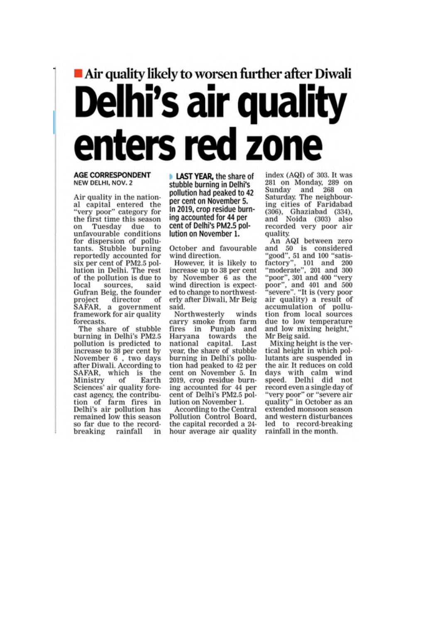# Air quality likely to worsen further after Diwali **Delhi's air quality** enters red zone

#### **AGE CORRESPONDENT** NEW DELHI, NOV. 2

Air quality in the national capital entered the<br>"very poor" category for<br>the first time this season on Tuesday due to unfavourable conditions for dispersion of pollutants. Stubble burning reportedly accounted for six per cent of PM2.5 pollution in Delhi. The rest of the pollution is due to local sources. said Gufran Beig, the founder director  $of$ project SAFAR, a government<br>framework for air quality forecasts.

The share of stubble burning in Delhi's PM2.5 pollution is predicted to increase to 38 per cent by November 6, two days after Diwali. According to SAFAR, which is the Ministry of Earth Sciences' air quality forecast agency, the contribution of farm fires in Delhi's air pollution has remained low this season so far due to the recordbreaking rainfall in

**LAST YEAR, the share of** stubble burning in Delhi's pollution had peaked to 42 per cent on November 5. In 2019, crop residue burning accounted for 44 per cent of Delhi's PM2.5 pollution on November 1.

October and favourable wind direction.

However, it is likely to increase up to 38 per cent by November 6 as the wind direction is expected to change to northwesterly after Diwali, Mr Beig said.

Northwesterly winds carry smoke from farm fires in Punjab and Haryana towards the national capital. Last year, the share of stubble burning in Delhi's pollution had peaked to 42 per cent on November 5. In 2019, crop residue burning accounted for 44 per cent of Delhi's PM2.5 pollution on November 1.

According to the Central Pollution Control Board, the capital recorded a 24hour average air quality index (AQI) of 303. It was 281 on Monday, 289 on Sunday and 268 on Saturday. The neighbouring cities of Faridabad (306), Ghaziabad (334),<br>and Noida (303) also recorded very poor air quality.

An AQI between zero<br>and 50 is considered "good", 51 and 100 "satis-<br>factory", 101 and 200 factory", 101 and 200<br>"moderate", 201 and 300 "poor", 301 and 400 "very<br>poor", and 401 and 500 "severe", "It is (very poor air quality) a result of accumulation of pollution from local sources due to low temperature and low mixing height, Mr Beig said.

Mixing height is the vertical height in which pollutants are suspended in the air. It reduces on cold days with calm wind<br>speed. Delhi did not record even a single day of "very poor" or "severe air<br>quality" in October as an extended monsoon season and western disturbances led to record-breaking rainfall in the month.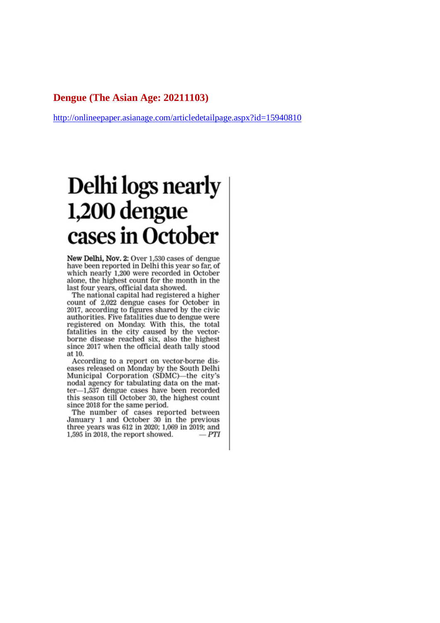#### **Dengue (The Asian Age: 20211103)**

http://onlineepaper.asianage.com/articledetailpage.aspx?id=15940810

## Delhi logs nearly 1,200 dengue cases in October

New Delhi, Nov. 2: Over 1,530 cases of dengue have been reported in Delhi this year so far, of which nearly 1,200 were recorded in October alone, the highest count for the month in the last four years, official data showed.

The national capital had registered a higher count of 2,022 dengue cases for October in 2017, according to figures shared by the civic authorities. Five fatalities due to dengue were registered on Monday. With this, the total fatalities in the city caused by the vectorborne disease reached six, also the highest since 2017 when the official death tally stood at 10.

According to a report on vector-borne diseases released on Monday by the South Delhi Municipal Corporation (SDMC)—the city's nodal agency for tabulating data on the matter-1,537 dengue cases have been recorded this season till October 30, the highest count since 2018 for the same period.

The number of cases reported between January 1 and October 30 in the previous three years was 612 in 2020; 1,069 in 2019; and 1.595 in 2018, the report showed.  $-PTI$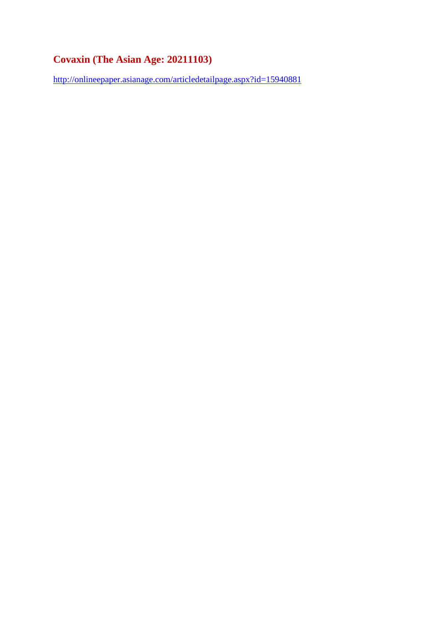### **Covaxin (The Asian Age: 20211103)**

http://onlineepaper.asianage.com/articledetailpage.aspx?id=15940881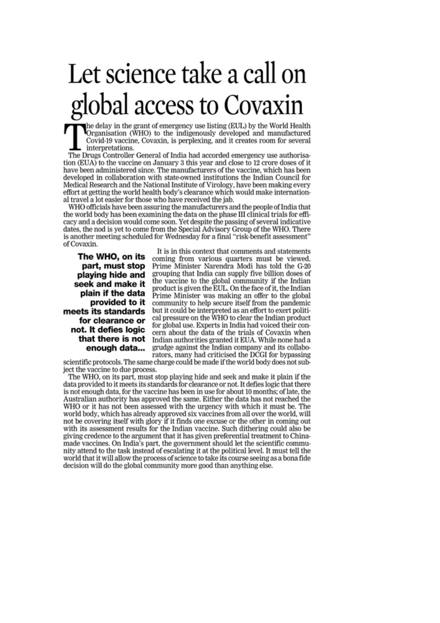# Let science take a call on global access to Covaxin

the delay in the grant of emergency use listing (EUL) by the World Health<br>Organisation (WHO) to the indigenously developed and manufactured Covid-19 vaccine, Covaxin, is perplexing, and it creates room for several interpretations.

The Drugs Controller General of India had accorded emergency use authorisation (EUA) to the vaccine on January 3 this year and close to 12 crore doses of it have been administered since. The manufacturers of the vaccine, which has been developed in collaboration with state-owned institutions the Indian Council for Medical Research and the National Institute of Virology, have been making every effort at getting the world health body's clearance which would make international travel a lot easier for those who have received the jab.

WHO officials have been assuring the manufacturers and the people of India that the world body has been examining the data on the phase III clinical trials for efficacy and a decision would come soon. Yet despite the passing of several indicative dates, the nod is yet to come from the Special Advisory Group of the WHO. There is another meeting scheduled for Wednesday for a final "risk-benefit assessment" of Covaxin.

The WHO, on its part, must stop playing hide and seek and make it plain if the data provided to it meets its standards for clearance or not. It defies logic that there is not enough data...

It is in this context that comments and statements coming from various quarters must be viewed. Prime Minister Narendra Modi has told the G-20 grouping that India can supply five billion doses of the vaccine to the global community if the Indian product is given the EUL. On the face of it, the Indian Prime Minister was making an offer to the global community to help secure itself from the pandemic but it could be interpreted as an effort to exert political pressure on the WHO to clear the Indian product for global use. Experts in India had voiced their concern about the data of the trials of Covaxin when Indian authorities granted it EUA. While none had a grudge against the Indian company and its collaborators, many had criticised the DCGI for bypassing

scientific protocols. The same charge could be made if the world body does not subject the vaccine to due process.

The WHO, on its part, must stop playing hide and seek and make it plain if the data provided to it meets its standards for clearance or not. It defies logic that there is not enough data, for the vaccine has been in use for about 10 months; of late, the Australian authority has approved the same. Either the data has not reached the WHO or it has not been assessed with the urgency with which it must be. The world body, which has already approved six vaccines from all over the world, will not be covering itself with glory if it finds one excuse or the other in coming out with its assessment results for the Indian vaccine. Such dithering could also be giving credence to the argument that it has given preferential treatment to Chinamade vaccines. On India's part, the government should let the scientific community attend to the task instead of escalating it at the political level. It must tell the world that it will allow the process of science to take its course seeing as a bona fide decision will do the global community more good than anything else.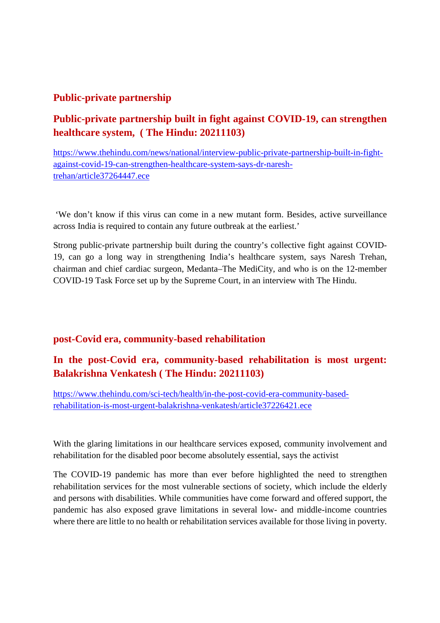### **Public-private partnership**

### **Public-private partnership built in fight against COVID-19, can strengthen healthcare system, ( The Hindu: 20211103)**

https://www.thehindu.com/news/national/interview-public-private-partnership-built-in-fightagainst-covid-19-can-strengthen-healthcare-system-says-dr-nareshtrehan/article37264447.ece

'We don't know if this virus can come in a new mutant form. Besides, active surveillance across India is required to contain any future outbreak at the earliest.'

Strong public-private partnership built during the country's collective fight against COVID-19, can go a long way in strengthening India's healthcare system, says Naresh Trehan, chairman and chief cardiac surgeon, Medanta–The MediCity, and who is on the 12-member COVID-19 Task Force set up by the Supreme Court, in an interview with The Hindu.

### **post-Covid era, community-based rehabilitation**

### **In the post-Covid era, community-based rehabilitation is most urgent: Balakrishna Venkatesh ( The Hindu: 20211103)**

https://www.thehindu.com/sci-tech/health/in-the-post-covid-era-community-basedrehabilitation-is-most-urgent-balakrishna-venkatesh/article37226421.ece

With the glaring limitations in our healthcare services exposed, community involvement and rehabilitation for the disabled poor become absolutely essential, says the activist

The COVID-19 pandemic has more than ever before highlighted the need to strengthen rehabilitation services for the most vulnerable sections of society, which include the elderly and persons with disabilities. While communities have come forward and offered support, the pandemic has also exposed grave limitations in several low- and middle-income countries where there are little to no health or rehabilitation services available for those living in poverty.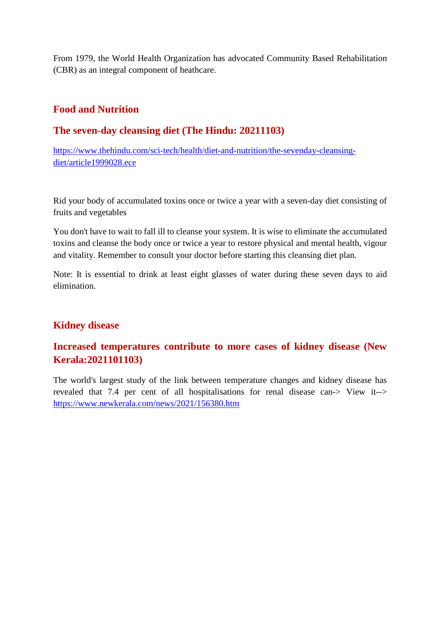From 1979, the World Health Organization has advocated Community Based Rehabilitation (CBR) as an integral component of heathcare.

### **Food and Nutrition**

### **The seven-day cleansing diet (The Hindu: 20211103)**

https://www.thehindu.com/sci-tech/health/diet-and-nutrition/the-sevenday-cleansingdiet/article1999028.ece

Rid your body of accumulated toxins once or twice a year with a seven-day diet consisting of fruits and vegetables

You don't have to wait to fall ill to cleanse your system. It is wise to eliminate the accumulated toxins and cleanse the body once or twice a year to restore physical and mental health, vigour and vitality. Remember to consult your doctor before starting this cleansing diet plan.

Note: It is essential to drink at least eight glasses of water during these seven days to aid elimination.

### **Kidney disease**

### **Increased temperatures contribute to more cases of kidney disease (New Kerala:2021101103)**

The world's largest study of the link between temperature changes and kidney disease has revealed that 7.4 per cent of all hospitalisations for renal disease can-> View it--> https://www.newkerala.com/news/2021/156380.htm